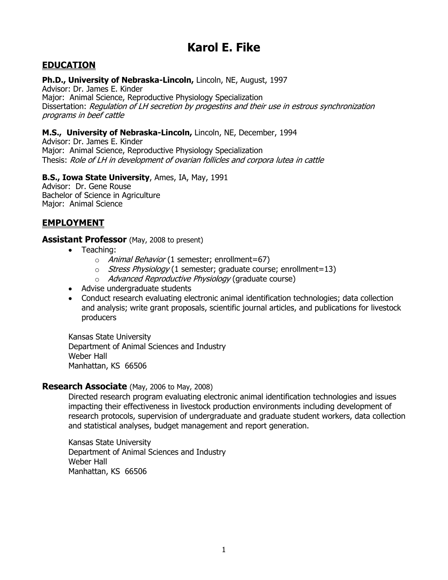# **Karol E. Fike**

# **EDUCATION**

#### **Ph.D., University of Nebraska-Lincoln,** Lincoln, NE, August, 1997

Advisor: Dr. James E. Kinder Major: Animal Science, Reproductive Physiology Specialization Dissertation: Regulation of LH secretion by progestins and their use in estrous synchronization programs in beef cattle

#### **M.S., University of Nebraska-Lincoln,** Lincoln, NE, December, 1994

Advisor: Dr. James E. Kinder Major: Animal Science, Reproductive Physiology Specialization Thesis: Role of LH in development of ovarian follicles and corpora lutea in cattle

#### **B.S., Iowa State University**, Ames, IA, May, 1991

Advisor: Dr. Gene Rouse Bachelor of Science in Agriculture Major: Animal Science

## **EMPLOYMENT**

#### **Assistant Professor** (May, 2008 to present)

- Teaching:
	- o Animal Behavior (1 semester; enrollment=67)
	- o Stress Physiology (1 semester; graduate course; enrollment=13)
	- o Advanced Reproductive Physiology (graduate course)
- Advise undergraduate students
- Conduct research evaluating electronic animal identification technologies; data collection and analysis; write grant proposals, scientific journal articles, and publications for livestock producers

Kansas State University Department of Animal Sciences and Industry Weber Hall Manhattan, KS 66506

#### **Research Associate** (May, 2006 to May, 2008)

Directed research program evaluating electronic animal identification technologies and issues impacting their effectiveness in livestock production environments including development of research protocols, supervision of undergraduate and graduate student workers, data collection and statistical analyses, budget management and report generation.

Kansas State University Department of Animal Sciences and Industry Weber Hall Manhattan, KS 66506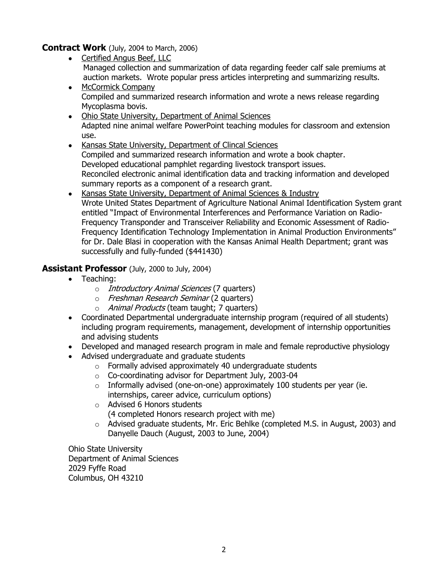**Contract Work** (July, 2004 to March, 2006)

- Certified Angus Beef, LLC Managed collection and summarization of data regarding feeder calf sale premiums at auction markets. Wrote popular press articles interpreting and summarizing results.
- $\bullet$ McCormick Company Compiled and summarized research information and wrote a news release regarding Mycoplasma bovis.
- Ohio State University, Department of Animal Sciences  $\bullet$ Adapted nine animal welfare PowerPoint teaching modules for classroom and extension use.
- Kansas State University, Department of Clincal Sciences  $\bullet$ Compiled and summarized research information and wrote a book chapter. Developed educational pamphlet regarding livestock transport issues. Reconciled electronic animal identification data and tracking information and developed summary reports as a component of a research grant.
- Kansas State University, Department of Animal Sciences & Industry  $\bullet$ Wrote United States Department of Agriculture National Animal Identification System grant entitled "Impact of Environmental Interferences and Performance Variation on Radio-Frequency Transponder and Transceiver Reliability and Economic Assessment of Radio-Frequency Identification Technology Implementation in Animal Production Environments" for Dr. Dale Blasi in cooperation with the Kansas Animal Health Department; grant was successfully and fully-funded (\$441430)

# **Assistant Professor** (July, 2000 to July, 2004)

- Teaching:
	- o *Introductory Animal Sciences* (7 quarters)
	- o Freshman Research Seminar (2 quarters)
	- o Animal Products (team taught; 7 quarters)
- $\bullet$ Coordinated Departmental undergraduate internship program (required of all students) including program requirements, management, development of internship opportunities and advising students
- Developed and managed research program in male and female reproductive physiology
- Advised undergraduate and graduate students
	- $\circ$  Formally advised approximately 40 undergraduate students
	- o Co-coordinating advisor for Department July, 2003-04
	- $\circ$  Informally advised (one-on-one) approximately 100 students per year (ie. internships, career advice, curriculum options)
	- o Advised 6 Honors students (4 completed Honors research project with me)
	- o Advised graduate students, Mr. Eric Behlke (completed M.S. in August, 2003) and Danyelle Dauch (August, 2003 to June, 2004)

Ohio State University Department of Animal Sciences 2029 Fyffe Road Columbus, OH 43210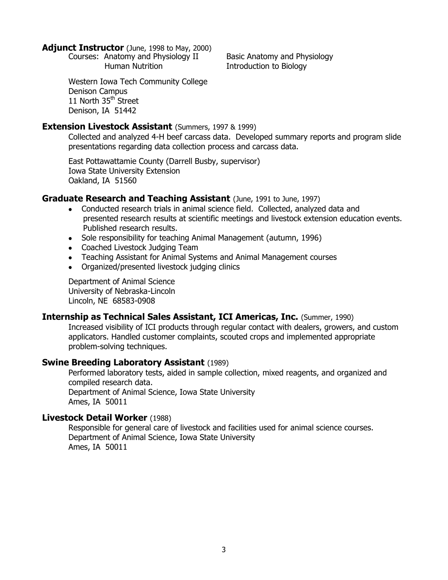#### **Adjunct Instructor** (June, 1998 to May, 2000)

Courses: Anatomy and Physiology II Basic Anatomy and Physiology Human Nutrition **Introduction to Biology** 

Western Iowa Tech Community College Denison Campus 11 North 35<sup>th</sup> Street Denison, IA 51442

#### **Extension Livestock Assistant** (Summers, 1997 & 1999)

Collected and analyzed 4-H beef carcass data. Developed summary reports and program slide presentations regarding data collection process and carcass data.

East Pottawattamie County (Darrell Busby, supervisor) Iowa State University Extension Oakland, IA 51560

### **Graduate Research and Teaching Assistant** (June, 1991 to June, 1997)

- Conducted research trials in animal science field. Collected, analyzed data and presented research results at scientific meetings and livestock extension education events. Published research results.
- Sole responsibility for teaching Animal Management (autumn, 1996)
- Coached Livestock Judging Team
- Teaching Assistant for Animal Systems and Animal Management courses
- $\bullet$ Organized/presented livestock judging clinics

Department of Animal Science University of Nebraska-Lincoln Lincoln, NE 68583-0908

### **Internship as Technical Sales Assistant, ICI Americas, Inc.** (Summer, 1990)

Increased visibility of ICI products through regular contact with dealers, growers, and custom applicators. Handled customer complaints, scouted crops and implemented appropriate problem-solving techniques.

### **Swine Breeding Laboratory Assistant** (1989)

Performed laboratory tests, aided in sample collection, mixed reagents, and organized and compiled research data. Department of Animal Science, Iowa State University Ames, IA 50011

#### **Livestock Detail Worker** (1988)

Responsible for general care of livestock and facilities used for animal science courses. Department of Animal Science, Iowa State University Ames, IA 50011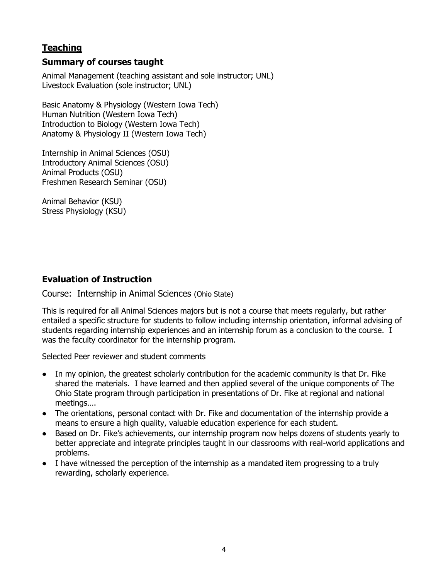# **Teaching**

# **Summary of courses taught**

Animal Management (teaching assistant and sole instructor; UNL) Livestock Evaluation (sole instructor; UNL)

Basic Anatomy & Physiology (Western Iowa Tech) Human Nutrition (Western Iowa Tech) Introduction to Biology (Western Iowa Tech) Anatomy & Physiology II (Western Iowa Tech)

Internship in Animal Sciences (OSU) Introductory Animal Sciences (OSU) Animal Products (OSU) Freshmen Research Seminar (OSU)

Animal Behavior (KSU) Stress Physiology (KSU)

# **Evaluation of Instruction**

Course: Internship in Animal Sciences (Ohio State)

This is required for all Animal Sciences majors but is not a course that meets regularly, but rather entailed a specific structure for students to follow including internship orientation, informal advising of students regarding internship experiences and an internship forum as a conclusion to the course. I was the faculty coordinator for the internship program.

Selected Peer reviewer and student comments

- In my opinion, the greatest scholarly contribution for the academic community is that Dr. Fike shared the materials. I have learned and then applied several of the unique components of The Ohio State program through participation in presentations of Dr. Fike at regional and national meetings….
- The orientations, personal contact with Dr. Fike and documentation of the internship provide a means to ensure a high quality, valuable education experience for each student.
- Based on Dr. Fike's achievements, our internship program now helps dozens of students yearly to better appreciate and integrate principles taught in our classrooms with real-world applications and problems.
- I have witnessed the perception of the internship as a mandated item progressing to a truly rewarding, scholarly experience.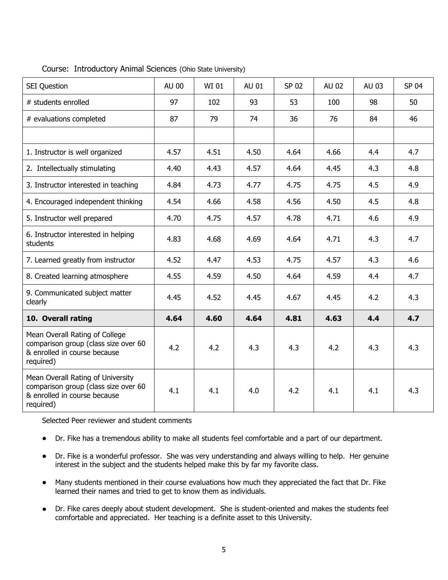| <b>SEI Question</b>                                                                                                    | AU 00 | WI 01 | AU 01 | SP 02 | AU 02 | AU 03 | SP 04 |
|------------------------------------------------------------------------------------------------------------------------|-------|-------|-------|-------|-------|-------|-------|
| # students enrolled                                                                                                    | 97    | 102   | 93    | 53    | 100   | 98    | 50    |
| # evaluations completed                                                                                                | 87    | 79    | 74    | 36    | 76    | 84    | 46    |
|                                                                                                                        |       |       |       |       |       |       |       |
| 1. Instructor is well organized                                                                                        | 4.57  | 4.51  | 4.50  | 4.64  | 4.66  | 4.4   | 4.7   |
| 2. Intellectually stimulating                                                                                          | 4.40  | 4.43  | 4.57  | 4.64  | 4.45  | 4.3   | 4.8   |
| 3. Instructor interested in teaching                                                                                   | 4.84  | 4.73  | 4.77  | 4.75  | 4.75  | 4.5   | 4.9   |
| 4. Encouraged independent thinking                                                                                     | 4.54  | 4.66  | 4.58  | 4.56  | 4.50  | 4.5   | 4.8   |
| 5. Instructor well prepared                                                                                            | 4.70  | 4.75  | 4.57  | 4.78  | 4.71  | 4.6   | 4.9   |
| 6. Instructor interested in helping<br>students                                                                        | 4.83  | 4.68  | 4.69  | 4.64  | 4.71  | 4.3   | 4.7   |
| 7. Learned greatly from instructor                                                                                     | 4.52  | 4.47  | 4.53  | 4.75  | 4.57  | 4.3   | 4.6   |
| 8. Created learning atmosphere                                                                                         | 4.55  | 4.59  | 4.50  | 4.64  | 4.59  | 4.4   | 4.7   |
| 9. Communicated subject matter<br>clearly                                                                              | 4.45  | 4.52  | 4.45  | 4.67  | 4.45  | 4.2   | 4.3   |
| 10. Overall rating                                                                                                     | 4.64  | 4.60  | 4.64  | 4.81  | 4.63  | 4.4   | 4.7   |
| Mean Overall Rating of College<br>comparison group (class size over 60<br>& enrolled in course because<br>required)    | 4.2   | 4.2   | 4.3   | 4.3   | 4.2   | 4.3   | 4.3   |
| Mean Overall Rating of University<br>comparison group (class size over 60<br>& enrolled in course because<br>required) | 4.1   | 4.1   | 4.0   | 4.2   | 4.1   | 4.1   | 4.3   |

Course: Introductory Animal Sciences (Ohio State University)

Selected Peer reviewer and student comments

- $\bullet$ Dr. Fike has a tremendous ability to make all students feel comfortable and a part of our department.
- Dr. Fike is a wonderful professor. She was very understanding and always willing to help. Her genuine interest in the subject and the students helped make this by far my favorite class.
- Many students mentioned in their course evaluations how much they appreciated the fact that Dr. Fike learned their names and tried to get to know them as individuals.
- Dr. Fike cares deeply about student development. She is student-oriented and makes the students feel  $\bullet$ comfortable and appreciated. Her teaching is a definite asset to this University.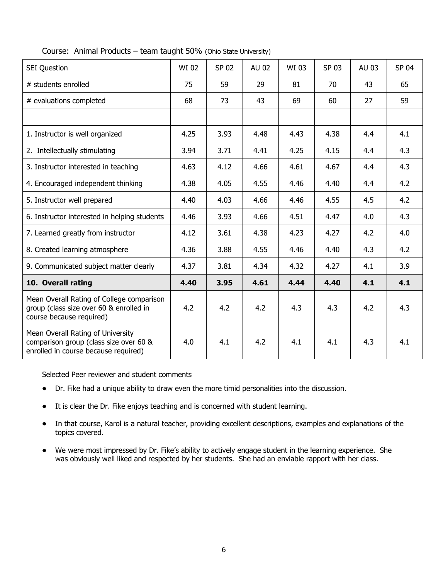| <b>SEI Question</b>                                                                                                 | WI 02 | SP 02 | AU 02 | WI 03 | SP 03 | AU 03 | SP 04 |
|---------------------------------------------------------------------------------------------------------------------|-------|-------|-------|-------|-------|-------|-------|
| # students enrolled                                                                                                 | 75    | 59    | 29    | 81    | 70    | 43    | 65    |
| # evaluations completed                                                                                             | 68    | 73    | 43    | 69    | 60    | 27    | 59    |
|                                                                                                                     |       |       |       |       |       |       |       |
| 1. Instructor is well organized                                                                                     | 4.25  | 3.93  | 4.48  | 4.43  | 4.38  | 4.4   | 4.1   |
| 2. Intellectually stimulating                                                                                       | 3.94  | 3.71  | 4.41  | 4.25  | 4.15  | 4.4   | 4.3   |
| 3. Instructor interested in teaching                                                                                | 4.63  | 4.12  | 4.66  | 4.61  | 4.67  | 4.4   | 4.3   |
| 4. Encouraged independent thinking                                                                                  | 4.38  | 4.05  | 4.55  | 4.46  | 4.40  | 4.4   | 4.2   |
| 5. Instructor well prepared                                                                                         | 4.40  | 4.03  | 4.66  | 4.46  | 4.55  | 4.5   | 4.2   |
| 6. Instructor interested in helping students                                                                        | 4.46  | 3.93  | 4.66  | 4.51  | 4.47  | 4.0   | 4.3   |
| 7. Learned greatly from instructor                                                                                  | 4.12  | 3.61  | 4.38  | 4.23  | 4.27  | 4.2   | 4.0   |
| 8. Created learning atmosphere                                                                                      | 4.36  | 3.88  | 4.55  | 4.46  | 4.40  | 4.3   | 4.2   |
| 9. Communicated subject matter clearly                                                                              | 4.37  | 3.81  | 4.34  | 4.32  | 4.27  | 4.1   | 3.9   |
| 10. Overall rating                                                                                                  | 4.40  | 3.95  | 4.61  | 4.44  | 4.40  | 4.1   | 4.1   |
| Mean Overall Rating of College comparison<br>group (class size over 60 & enrolled in<br>course because required)    | 4.2   | 4.2   | 4.2   | 4.3   | 4.3   | 4.2   | 4.3   |
| Mean Overall Rating of University<br>comparison group (class size over 60 &<br>enrolled in course because required) | 4.0   | 4.1   | 4.2   | 4.1   | 4.1   | 4.3   | 4.1   |

#### Course: Animal Products – team taught 50% (Ohio State University)

Selected Peer reviewer and student comments

- Dr. Fike had a unique ability to draw even the more timid personalities into the discussion.
- It is clear the Dr. Fike enjoys teaching and is concerned with student learning.
- In that course, Karol is a natural teacher, providing excellent descriptions, examples and explanations of the  $\bullet$ topics covered.
- We were most impressed by Dr. Fike's ability to actively engage student in the learning experience. She was obviously well liked and respected by her students. She had an enviable rapport with her class.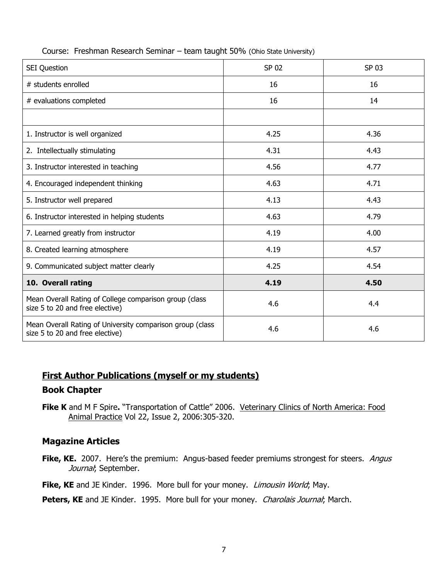| <b>SEI Question</b>                                                                          | SP 02 | SP 03 |
|----------------------------------------------------------------------------------------------|-------|-------|
| # students enrolled                                                                          | 16    | 16    |
| # evaluations completed                                                                      | 16    | 14    |
|                                                                                              |       |       |
| 1. Instructor is well organized                                                              | 4.25  | 4.36  |
| 2. Intellectually stimulating                                                                | 4.31  | 4.43  |
| 3. Instructor interested in teaching                                                         | 4.56  | 4.77  |
| 4. Encouraged independent thinking                                                           | 4.63  | 4.71  |
| 5. Instructor well prepared                                                                  | 4.13  | 4.43  |
| 6. Instructor interested in helping students                                                 | 4.63  | 4.79  |
| 7. Learned greatly from instructor                                                           | 4.19  | 4.00  |
| 8. Created learning atmosphere                                                               | 4.19  | 4.57  |
| 9. Communicated subject matter clearly                                                       | 4.25  | 4.54  |
| 10. Overall rating                                                                           | 4.19  | 4.50  |
| Mean Overall Rating of College comparison group (class<br>size 5 to 20 and free elective)    | 4.6   | 4.4   |
| Mean Overall Rating of University comparison group (class<br>size 5 to 20 and free elective) | 4.6   | 4.6   |

#### Course: Freshman Research Seminar – team taught 50% (Ohio State University)

# **First Author Publications (myself or my students)**

### **Book Chapter**

**Fike K** and M F Spire**.** "Transportation of Cattle" 2006. Veterinary Clinics of North America: Food Animal Practice [Vol 22, Issue 2,](http://www.sciencedirect.com/science?_ob=PublicationURL&_tockey=%23TOC%2325745%232006%23999779997%23626387%23FLA%23&_cdi=25745&_pubType=J&view=c&_auth=y&_acct=C000050221&_version=1&_urlVersion=0&_userid=10&md5=b74674b71f6568040a9131aa945fa95e) 2006:305-320.

### **Magazine Articles**

**Fike, KE.** 2007. Here's the premium: Angus-based feeder premiums strongest for steers. *Angus* Journal; September.

Fike, KE and JE Kinder. 1996. More bull for your money. *Limousin World*; May.

Peters, KE and JE Kinder. 1995. More bull for your money. Charolais Journal; March.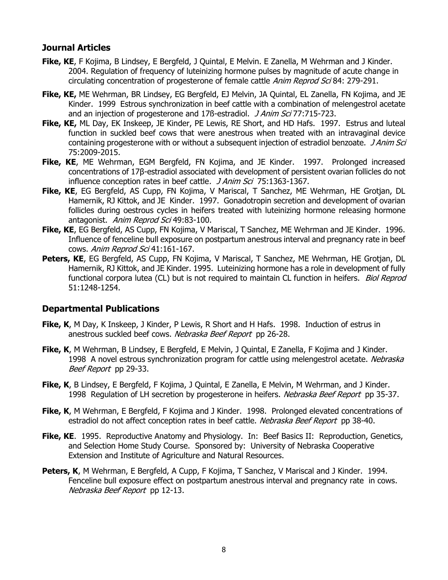### **Journal Articles**

- **Fike, KE**, F Kojima, B Lindsey, E Bergfeld, J Quintal, E Melvin. E Zanella, M Wehrman and J Kinder. 2004. Regulation of frequency of luteinizing hormone pulses by magnitude of acute change in circulating concentration of progesterone of female cattle Anim Reprod Sci 84: 279-291.
- **Fike, KE,** ME Wehrman, BR Lindsey, EG Bergfeld, EJ Melvin, JA Quintal, EL Zanella, FN Kojima, and JE Kinder. 1999 Estrous synchronization in beef cattle with a combination of melengestrol acetate and an injection of progesterone and 17ß-estradiol. J Anim Sci 77:715-723.
- **Fike, KE,** ML Day, EK Inskeep, JE Kinder, PE Lewis, RE Short, and HD Hafs. 1997. Estrus and luteal function in suckled beef cows that were anestrous when treated with an intravaginal device containing progesterone with or without a subsequent injection of estradiol benzoate. *J Anim Sci* 75:2009-2015.
- Fike, KE, ME Wehrman, EGM Bergfeld, FN Kojima, and JE Kinder. 1997. Prolonged increased concentrations of 17β-estradiol associated with development of persistent ovarian follicles do not influence conception rates in beef cattle. J Anim Sci 75:1363-1367.
- **Fike, KE**, EG Bergfeld, AS Cupp, FN Kojima, V Mariscal, T Sanchez, ME Wehrman, HE Grotjan, DL Hamernik, RJ Kittok, and JE Kinder. 1997. Gonadotropin secretion and development of ovarian follicles during oestrous cycles in heifers treated with luteinizing hormone releasing hormone antagonist. Anim Reprod Sci 49:83-100.
- **Fike, KE**, EG Bergfeld, AS Cupp, FN Kojima, V Mariscal, T Sanchez, ME Wehrman and JE Kinder. 1996. Influence of fenceline bull exposure on postpartum anestrous interval and pregnancy rate in beef cows. Anim Reprod Sci 41:161-167.
- Peters, KE, EG Bergfeld, AS Cupp, FN Kojima, V Mariscal, T Sanchez, ME Wehrman, HE Grotjan, DL Hamernik, RJ Kittok, and JE Kinder. 1995. Luteinizing hormone has a role in development of fully functional corpora lutea (CL) but is not required to maintain CL function in heifers. Biol Reprod 51:1248-1254.

### **Departmental Publications**

- **Fike, K**, M Day, K Inskeep, J Kinder, P Lewis, R Short and H Hafs. 1998. Induction of estrus in anestrous suckled beef cows. Nebraska Beef Report pp 26-28.
- **Fike, K**, M Wehrman, B Lindsey, E Bergfeld, E Melvin, J Quintal, E Zanella, F Kojima and J Kinder. 1998 A novel estrous synchronization program for cattle using melengestrol acetate. Nebraska Beef Report pp 29-33.
- **Fike, K**, B Lindsey, E Bergfeld, F Kojima, J Quintal, E Zanella, E Melvin, M Wehrman, and J Kinder. 1998 Regulation of LH secretion by progesterone in heifers. Nebraska Beef Report pp 35-37.
- **Fike, K**, M Wehrman, E Bergfeld, F Kojima and J Kinder. 1998. Prolonged elevated concentrations of estradiol do not affect conception rates in beef cattle. Nebraska Beef Report pp 38-40.
- **Fike, KE**. 1995. Reproductive Anatomy and Physiology. In: Beef Basics II: Reproduction, Genetics, and Selection Home Study Course. Sponsored by: University of Nebraska Cooperative Extension and Institute of Agriculture and Natural Resources.
- Peters, K, M Wehrman, E Bergfeld, A Cupp, F Kojima, T Sanchez, V Mariscal and J Kinder. 1994. Fenceline bull exposure effect on postpartum anestrous interval and pregnancy rate in cows. Nebraska Beef Report pp 12-13.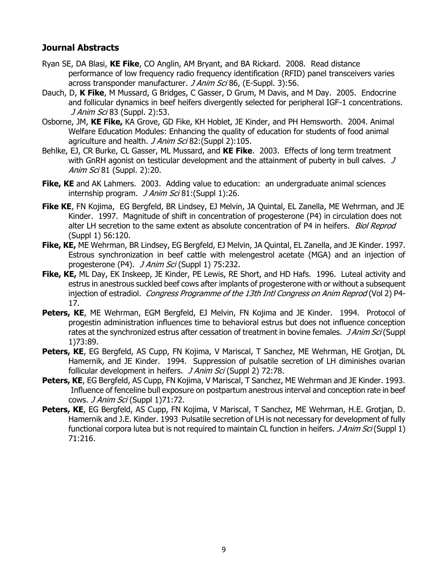# **Journal Abstracts**

- Ryan SE, DA Blasi, **KE Fike**, CO Anglin, AM Bryant, and BA Rickard. 2008. Read distance performance of low frequency radio frequency identification (RFID) panel transceivers varies across transponder manufacturer. *J Anim Sci* 86, (E-Suppl. 3):56.
- Dauch, D, **K Fike**, M Mussard, G Bridges, C Gasser, D Grum, M Davis, and M Day. 2005. Endocrine and follicular dynamics in beef heifers divergently selected for peripheral IGF-1 concentrations. J Anim Sci 83 (Suppl. 2):53.
- Osborne, JM, **KE Fike,** KA Grove, GD Fike, KH Hoblet, JE Kinder, and PH Hemsworth. 2004. Animal Welfare Education Modules: Enhancing the quality of education for students of food animal agriculture and health. *J Anim Sci* 82: (Suppl 2): 105.
- Behlke, EJ, CR Burke, CL Gasser, ML Mussard, and **KE Fike**. 2003. Effects of long term treatment with GnRH agonist on testicular development and the attainment of puberty in bull calves.  $J$ Anim Sci 81 (Suppl. 2):20.
- **Fike, KE** and AK Lahmers. 2003. Adding value to education: an undergraduate animal sciences internship program. *J Anim Sci* 81: (Suppl 1):26.
- **Fike KE**, FN Kojima, EG Bergfeld, BR Lindsey, EJ Melvin, JA Quintal, EL Zanella, ME Wehrman, and JE Kinder. 1997. Magnitude of shift in concentration of progesterone (P4) in circulation does not alter LH secretion to the same extent as absolute concentration of P4 in heifers. Biol Reprod (Suppl 1) 56:120.
- **Fike, KE,** ME Wehrman, BR Lindsey, EG Bergfeld, EJ Melvin, JA Quintal, EL Zanella, and JE Kinder. 1997. Estrous synchronization in beef cattle with melengestrol acetate (MGA) and an injection of progesterone (P4). *J Anim Sci* (Suppl 1) 75:232.
- **Fike, KE,** ML Day, EK Inskeep, JE Kinder, PE Lewis, RE Short, and HD Hafs. 1996. Luteal activity and estrus in anestrous suckled beef cows after implants of progesterone with or without a subsequent injection of estradiol. Congress Programme of the 13th Intl Congress on Anim Reprod (Vol 2) P4-17.
- **Peters, KE, ME Wehrman, EGM Bergfeld, EJ Melvin, FN Kojima and JE Kinder. 1994. Protocol of** progestin administration influences time to behavioral estrus but does not influence conception rates at the synchronized estrus after cessation of treatment in bovine females. *JAnim Sci* (Suppl 1)73:89.
- **Peters, KE**, EG Bergfeld, AS Cupp, FN Kojima, V Mariscal, T Sanchez, ME Wehrman, HE Grotjan, DL Hamernik, and JE Kinder. 1994. Suppression of pulsatile secretion of LH diminishes ovarian follicular development in heifers. *J Anim Sci* (Suppl 2) 72:78.
- **Peters, KE**, EG Bergfeld, AS Cupp, FN Kojima, V Mariscal, T Sanchez, ME Wehrman and JE Kinder. 1993. Influence of fenceline bull exposure on postpartum anestrous interval and conception rate in beef cows. *J Anim Sci* (Suppl 1)71:72.
- **Peters, KE**, EG Bergfeld, AS Cupp, FN Kojima, V Mariscal, T Sanchez, ME Wehrman, H.E. Grotjan, D. Hamernik and J.E. Kinder. 1993 Pulsatile secretion of LH is not necessary for development of fully functional corpora lutea but is not required to maintain CL function in heifers. *J Anim Sci* (Suppl 1) 71:216.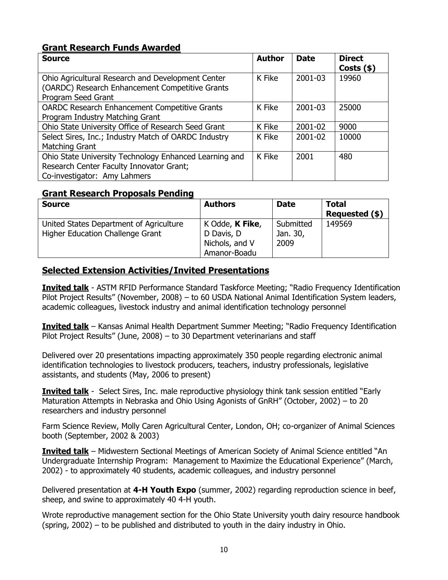# **Grant Research Funds Awarded**

| <b>Source</b>                                          | <b>Author</b> | <b>Date</b> | <b>Direct</b><br>Costs $(*)$ |
|--------------------------------------------------------|---------------|-------------|------------------------------|
| Ohio Agricultural Research and Development Center      | K Fike        | 2001-03     | 19960                        |
| (OARDC) Research Enhancement Competitive Grants        |               |             |                              |
| Program Seed Grant                                     |               |             |                              |
| <b>OARDC Research Enhancement Competitive Grants</b>   | K Fike        | 2001-03     | 25000                        |
| Program Industry Matching Grant                        |               |             |                              |
| Ohio State University Office of Research Seed Grant    | K Fike        | 2001-02     | 9000                         |
| Select Sires, Inc.; Industry Match of OARDC Industry   | K Fike        | 2001-02     | 10000                        |
| Matching Grant                                         |               |             |                              |
| Ohio State University Technology Enhanced Learning and | K Fike        | 2001        | 480                          |
| Research Center Faculty Innovator Grant;               |               |             |                              |
| Co-investigator: Amy Lahmers                           |               |             |                              |

### **Grant Research Proposals Pending**

| <b>Source</b>                           | <b>Authors</b>  | <b>Date</b> | <b>Total</b><br>Requested (\$) |
|-----------------------------------------|-----------------|-------------|--------------------------------|
| United States Department of Agriculture | K Odde, K Fike, | Submitted   | 149569                         |
| Higher Education Challenge Grant        | D Davis, D      | Jan. 30,    |                                |
|                                         | Nichols, and V  | 2009        |                                |
|                                         | Amanor-Boadu    |             |                                |

# **Selected Extension Activities/Invited Presentations**

**Invited talk** - ASTM RFID Performance Standard Taskforce Meeting; "Radio Frequency Identification Pilot Project Results" (November, 2008) – to 60 USDA National Animal Identification System leaders, academic colleagues, livestock industry and animal identification technology personnel

**Invited talk** – Kansas Animal Health Department Summer Meeting; "Radio Frequency Identification Pilot Project Results" (June, 2008) – to 30 Department veterinarians and staff

Delivered over 20 presentations impacting approximately 350 people regarding electronic animal identification technologies to livestock producers, teachers, industry professionals, legislative assistants, and students (May, 2006 to present)

**Invited talk** - Select Sires, Inc. male reproductive physiology think tank session entitled "Early Maturation Attempts in Nebraska and Ohio Using Agonists of GnRH" (October, 2002) – to 20 researchers and industry personnel

Farm Science Review, Molly Caren Agricultural Center, London, OH; co-organizer of Animal Sciences booth (September, 2002 & 2003)

**Invited talk** – Midwestern Sectional Meetings of American Society of Animal Science entitled "An Undergraduate Internship Program: Management to Maximize the Educational Experience" (March, 2002) - to approximately 40 students, academic colleagues, and industry personnel

Delivered presentation at **4-H Youth Expo** (summer, 2002) regarding reproduction science in beef, sheep, and swine to approximately 40 4-H youth.

Wrote reproductive management section for the Ohio State University youth dairy resource handbook (spring, 2002) – to be published and distributed to youth in the dairy industry in Ohio.